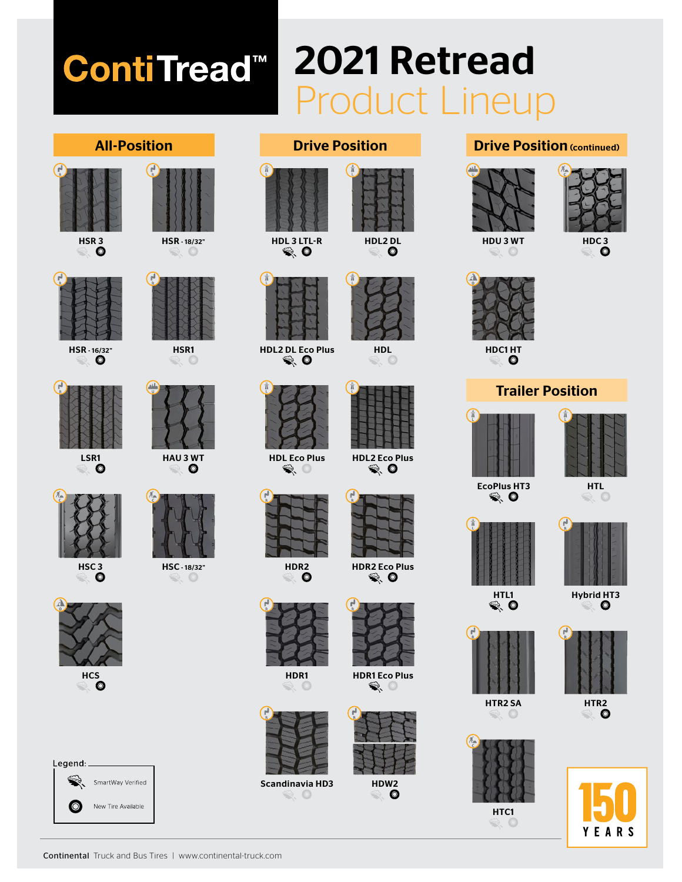# **ContiTread™**

## 2021 Retread **Jct Lineup**

 $\mathbb{R}$ 



HSR<sub>3</sub>



 $\Rightarrow$  0



HSR - 16/32"



LSR1<br> **O** 



HSC<sub>3</sub>



Legend: \_ SmartWay Verified

 $\circ$ 

New Tire Available

HSR - 18/32"



HSR1 S. 0



HAU 3 WT



HSC - 18/32" SR 0





HDL 3 LTL-R<br>S. O



HDL2 DL Eco Plus<br> $\quad \, \widehat{\mathbb{R}} \,$  0



HDL Eco Plus  $\Rightarrow$   $\circ$ 



HDR<sub>2</sub> 4



HDR1  $\Rightarrow$  0



Scandinavia HD3  $\Rightarrow$  0



HDL2 DL



HDL





HDR2 Eco Plus<br>Signal District Of the Magnetic Plus



HDR1 Eco Plus  $\blacktriangleright$  0



HDW<sub>2</sub>

### All-Position **Drive Position** Drive Position **Drive Position** (continued)





HDU 3 WT  $\circ$ 

HDC<sub>3</sub>



HDC1 HT

### Trailer Position







HTL1<br> $\mathbf{\hat{S}}$ 







HTC1 25





Hybrid HT3 - 17